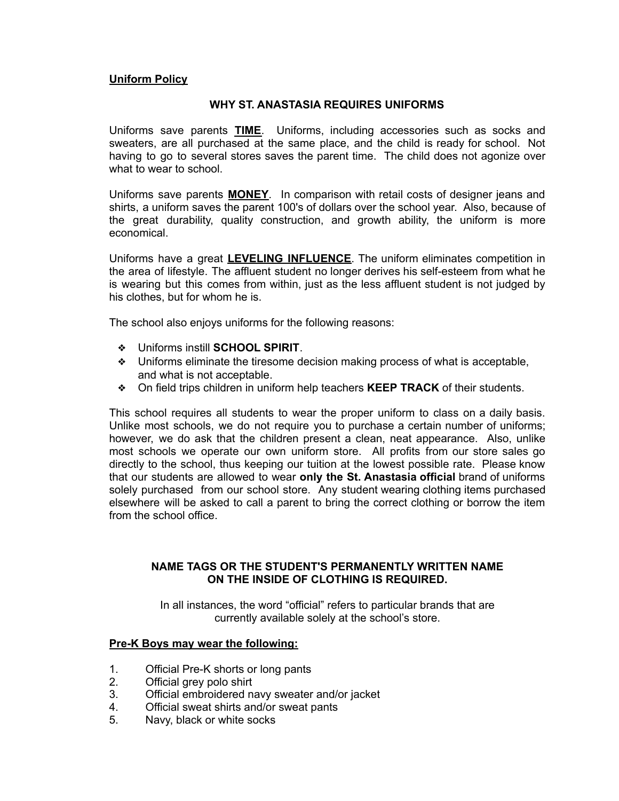#### **Uniform Policy**

#### **WHY ST. ANASTASIA REQUIRES UNIFORMS**

Uniforms save parents **TIME**. Uniforms, including accessories such as socks and sweaters, are all purchased at the same place, and the child is ready for school. Not having to go to several stores saves the parent time. The child does not agonize over what to wear to school.

Uniforms save parents **MONEY**. In comparison with retail costs of designer jeans and shirts, a uniform saves the parent 100's of dollars over the school year. Also, because of the great durability, quality construction, and growth ability, the uniform is more economical.

Uniforms have a great **LEVELING INFLUENCE**. The uniform eliminates competition in the area of lifestyle. The affluent student no longer derives his self-esteem from what he is wearing but this comes from within, just as the less affluent student is not judged by his clothes, but for whom he is.

The school also enjoys uniforms for the following reasons:

- ❖ Uniforms instill **SCHOOL SPIRIT**.
- ❖ Uniforms eliminate the tiresome decision making process of what is acceptable, and what is not acceptable.
- ❖ On field trips children in uniform help teachers **KEEP TRACK** of their students.

This school requires all students to wear the proper uniform to class on a daily basis. Unlike most schools, we do not require you to purchase a certain number of uniforms; however, we do ask that the children present a clean, neat appearance. Also, unlike most schools we operate our own uniform store. All profits from our store sales go directly to the school, thus keeping our tuition at the lowest possible rate. Please know that our students are allowed to wear **only the St. Anastasia official** brand of uniforms solely purchased from our school store. Any student wearing clothing items purchased elsewhere will be asked to call a parent to bring the correct clothing or borrow the item from the school office.

#### **NAME TAGS OR THE STUDENT'S PERMANENTLY WRITTEN NAME ON THE INSIDE OF CLOTHING IS REQUIRED.**

In all instances, the word "official" refers to particular brands that are currently available solely at the school's store.

#### **Pre-K Boys may wear the following:**

- 1. Official Pre-K shorts or long pants
- 2. Official grey polo shirt
- 3. Official embroidered navy sweater and/or jacket
- 4. Official sweat shirts and/or sweat pants
- 5. Navy, black or white socks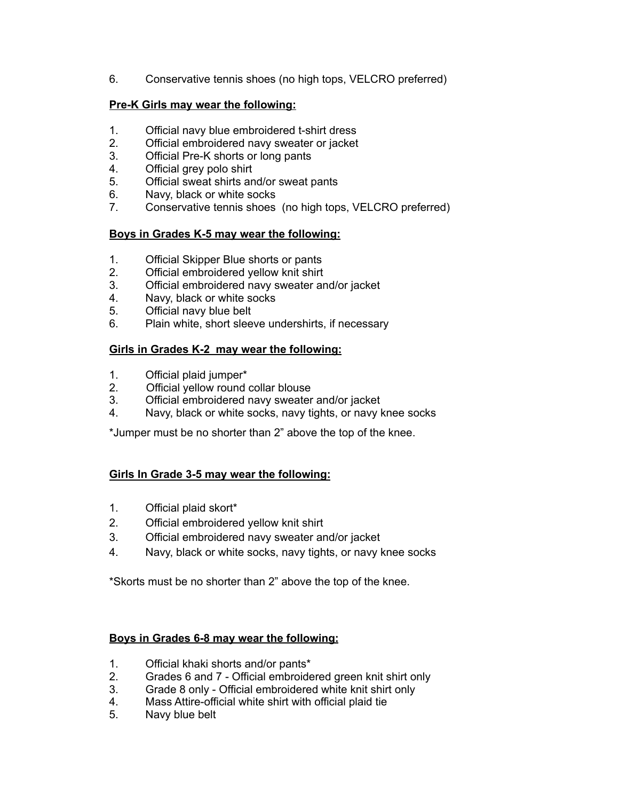6. Conservative tennis shoes (no high tops, VELCRO preferred)

# **Pre-K Girls may wear the following:**

- 1. Official navy blue embroidered t-shirt dress
- 2. Official embroidered navy sweater or jacket
- 3. Official Pre-K shorts or long pants
- 4. Official grey polo shirt
- 5. Official sweat shirts and/or sweat pants
- 6. Navy, black or white socks
- 7. Conservative tennis shoes (no high tops, VELCRO preferred)

## **Boys in Grades K-5 may wear the following:**

- 1. Official Skipper Blue shorts or pants
- 2. Official embroidered yellow knit shirt
- 3. Official embroidered navy sweater and/or jacket
- 4. Navy, black or white socks
- 5. Official navy blue belt
- 6. Plain white, short sleeve undershirts, if necessary

# **Girls in Grades K-2 may wear the following:**

- 1. Official plaid jumper\*
- 2. Official yellow round collar blouse
- 3. Official embroidered navy sweater and/or jacket
- 4. Navy, black or white socks, navy tights, or navy knee socks

\*Jumper must be no shorter than 2" above the top of the knee.

# **Girls In Grade 3-5 may wear the following:**

- 1. Official plaid skort\*
- 2. Official embroidered yellow knit shirt
- 3. Official embroidered navy sweater and/or jacket
- 4. Navy, black or white socks, navy tights, or navy knee socks

\*Skorts must be no shorter than 2" above the top of the knee.

## **Boys in Grades 6-8 may wear the following:**

- 1. Official khaki shorts and/or pants\*
- 2. Grades 6 and 7 Official embroidered green knit shirt only
- 3. Grade 8 only Official embroidered white knit shirt only
- 4. Mass Attire-official white shirt with official plaid tie
- 5. Navy blue belt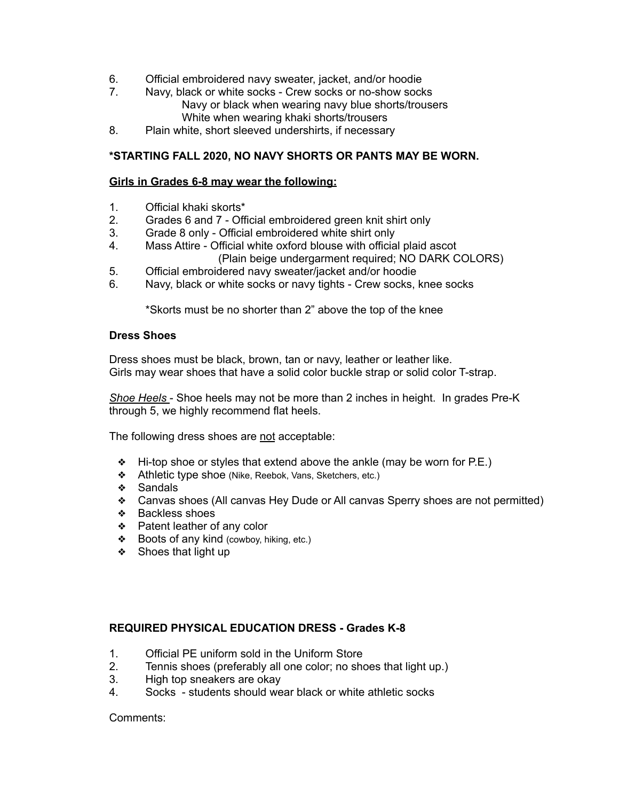- 6. Official embroidered navy sweater, jacket, and/or hoodie
- 7. Navy, black or white socks Crew socks or no-show socks Navy or black when wearing navy blue shorts/trousers White when wearing khaki shorts/trousers
- 8. Plain white, short sleeved undershirts, if necessary

# **\*STARTING FALL 2020, NO NAVY SHORTS OR PANTS MAY BE WORN.**

## **Girls in Grades 6-8 may wear the following:**

- 1. Official khaki skorts\*
- 2. Grades 6 and 7 Official embroidered green knit shirt only
- 3. Grade 8 only Official embroidered white shirt only
- 4. Mass Attire Official white oxford blouse with official plaid ascot (Plain beige undergarment required; NO DARK COLORS)
- 5. Official embroidered navy sweater/jacket and/or hoodie
- 6. Navy, black or white socks or navy tights Crew socks, knee socks

\*Skorts must be no shorter than 2" above the top of the knee

#### **Dress Shoes**

Dress shoes must be black, brown, tan or navy, leather or leather like. Girls may wear shoes that have a solid color buckle strap or solid color T-strap.

*Shoe Heels* - Shoe heels may not be more than 2 inches in height. In grades Pre-K through 5, we highly recommend flat heels.

The following dress shoes are not acceptable:

- ❖ Hi-top shoe or styles that extend above the ankle (may be worn for P.E.)
- ❖ Athletic type shoe (Nike, Reebok, Vans, Sketchers, etc.)
- ❖ Sandals
- ❖ Canvas shoes (All canvas Hey Dude or All canvas Sperry shoes are not permitted)
- ❖ Backless shoes
- ❖ Patent leather of any color
- ❖ Boots of any kind (cowboy, hiking, etc.)
- ❖ Shoes that light up

## **REQUIRED PHYSICAL EDUCATION DRESS - Grades K-8**

- 1. Official PE uniform sold in the Uniform Store
- 2. Tennis shoes (preferably all one color; no shoes that light up.)
- 3. High top sneakers are okay
- 4. Socks students should wear black or white athletic socks

Comments: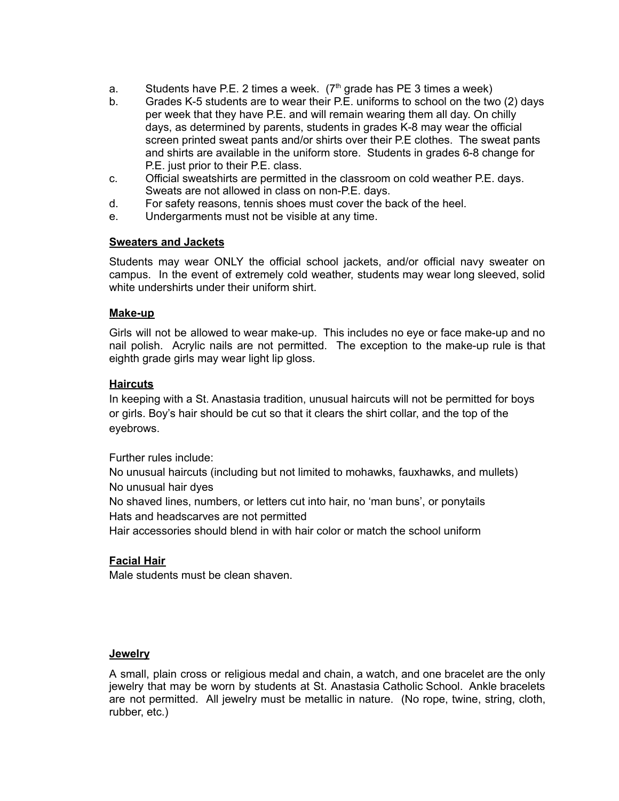- a. Students have P.E. 2 times a week.  $(7<sup>th</sup>$  grade has PE 3 times a week)
- b. Grades K-5 students are to wear their P.E. uniforms to school on the two (2) days per week that they have P.E. and will remain wearing them all day. On chilly days, as determined by parents, students in grades K-8 may wear the official screen printed sweat pants and/or shirts over their P.E clothes. The sweat pants and shirts are available in the uniform store. Students in grades 6-8 change for P.E. just prior to their P.E. class.
- c. Official sweatshirts are permitted in the classroom on cold weather P.E. days. Sweats are not allowed in class on non-P.E. days.
- d. For safety reasons, tennis shoes must cover the back of the heel.
- e. Undergarments must not be visible at any time.

## **Sweaters and Jackets**

Students may wear ONLY the official school jackets, and/or official navy sweater on campus. In the event of extremely cold weather, students may wear long sleeved, solid white undershirts under their uniform shirt.

## **Make-up**

Girls will not be allowed to wear make-up. This includes no eye or face make-up and no nail polish. Acrylic nails are not permitted. The exception to the make-up rule is that eighth grade girls may wear light lip gloss.

## **Haircuts**

In keeping with a St. Anastasia tradition, unusual haircuts will not be permitted for boys or girls. Boy's hair should be cut so that it clears the shirt collar, and the top of the eyebrows.

Further rules include:

No unusual haircuts (including but not limited to mohawks, fauxhawks, and mullets) No unusual hair dyes

No shaved lines, numbers, or letters cut into hair, no 'man buns', or ponytails Hats and headscarves are not permitted

Hair accessories should blend in with hair color or match the school uniform

# **Facial Hair**

Male students must be clean shaven.

## **Jewelry**

A small, plain cross or religious medal and chain, a watch, and one bracelet are the only jewelry that may be worn by students at St. Anastasia Catholic School. Ankle bracelets are not permitted. All jewelry must be metallic in nature. (No rope, twine, string, cloth, rubber, etc.)